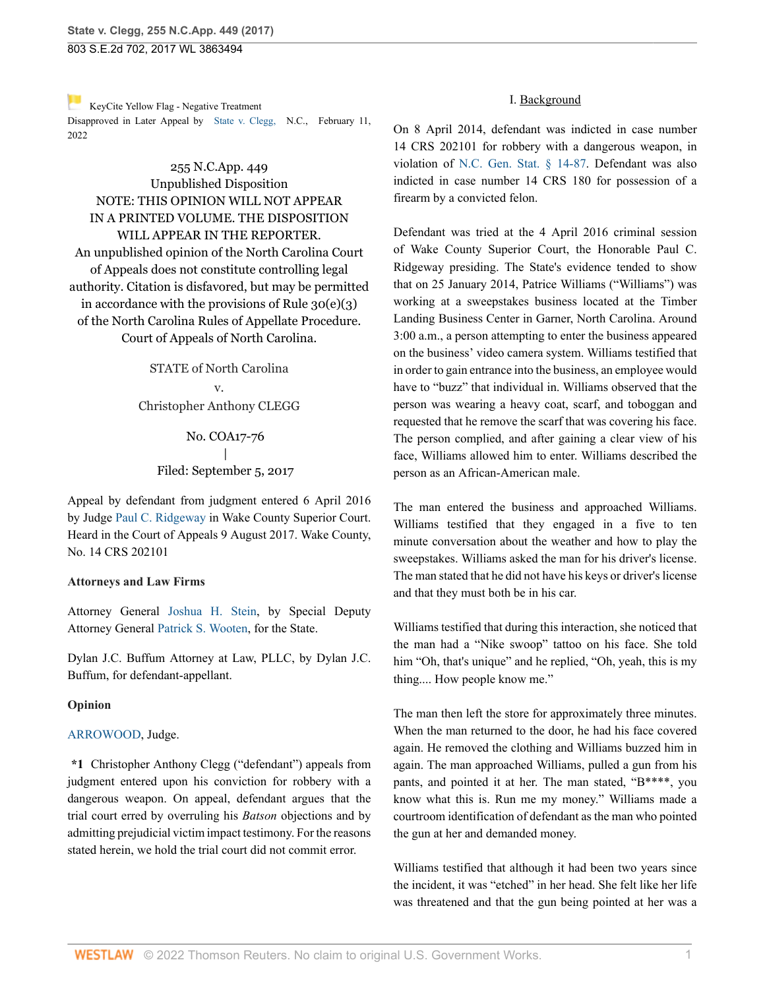803 S.E.2d 702, 2017 WL 3863494

#### [K](https://1.next.westlaw.com/Link/RelatedInformation/Flag?documentGuid=Ie49697508b7d11ec9381ff4a09a81529&transitionType=Document&originationContext=docHeaderFlag&Rank=0&ppcid=6d449fd648f441f6acc44b6374a1657c&contextData=(sc.FindAndPrintPortal) )eyCite Yellow Flag - Negative Treatment Disapproved in Later Appeal by [State v. Clegg,](https://www.westlaw.com/Document/Ie49697508b7d11ec9381ff4a09a81529/View/FullText.html?navigationPath=RelatedInfo%2Fv4%2Fkeycite%2Fnav%2F%3ForigDocGuid%3DI760205a0925c11e79e029b6011d84ab0&listSource=RelatedInfo&list=NegativeCitingReferences&rank=0&ppcid=6d449fd648f441f6acc44b6374a1657c&originationContext=docHeader&transitionType=NegativeTreatment&contextData=%28sc.FindAndPrintPortal%29&VR=3.0&RS=cblt1.0 ) N.C., February 11, 2022

# 255 N.C.App. 449 Unpublished Disposition NOTE: THIS OPINION WILL NOT APPEAR IN A PRINTED VOLUME. THE DISPOSITION WILL APPEAR IN THE REPORTER. An unpublished opinion of the North Carolina Court of Appeals does not constitute controlling legal authority. Citation is disfavored, but may be permitted in accordance with the provisions of Rule  $30(e)(3)$ of the North Carolina Rules of Appellate Procedure. Court of Appeals of North Carolina.

STATE of North Carolina v. Christopher Anthony CLEGG

> No. COA17-76 | Filed: September 5, 2017

Appeal by defendant from judgment entered 6 April 2016 by Judge [Paul C. Ridgeway](http://www.westlaw.com/Link/Document/FullText?findType=h&pubNum=176284&cite=0113517701&originatingDoc=I760205a0925c11e79e029b6011d84ab0&refType=RQ&originationContext=document&vr=3.0&rs=cblt1.0&transitionType=DocumentItem&contextData=(sc.FindAndPrintPortal)) in Wake County Superior Court. Heard in the Court of Appeals 9 August 2017. Wake County, No. 14 CRS 202101

### **Attorneys and Law Firms**

Attorney General [Joshua H. Stein,](http://www.westlaw.com/Link/Document/FullText?findType=h&pubNum=176284&cite=0281418001&originatingDoc=I760205a0925c11e79e029b6011d84ab0&refType=RQ&originationContext=document&vr=3.0&rs=cblt1.0&transitionType=DocumentItem&contextData=(sc.FindAndPrintPortal)) by Special Deputy Attorney General [Patrick S. Wooten](http://www.westlaw.com/Link/Document/FullText?findType=h&pubNum=176284&cite=0466483901&originatingDoc=I760205a0925c11e79e029b6011d84ab0&refType=RQ&originationContext=document&vr=3.0&rs=cblt1.0&transitionType=DocumentItem&contextData=(sc.FindAndPrintPortal)), for the State.

Dylan J.C. Buffum Attorney at Law, PLLC, by Dylan J.C. Buffum, for defendant-appellant.

### **Opinion**

### [ARROWOOD,](http://www.westlaw.com/Link/Document/FullText?findType=h&pubNum=176284&cite=0503447899&originatingDoc=I760205a0925c11e79e029b6011d84ab0&refType=RQ&originationContext=document&vr=3.0&rs=cblt1.0&transitionType=DocumentItem&contextData=(sc.FindAndPrintPortal)) Judge.

**\*1** Christopher Anthony Clegg ("defendant") appeals from judgment entered upon his conviction for robbery with a dangerous weapon. On appeal, defendant argues that the trial court erred by overruling his *Batson* objections and by admitting prejudicial victim impact testimony. For the reasons stated herein, we hold the trial court did not commit error.

## I. Background

On 8 April 2014, defendant was indicted in case number 14 CRS 202101 for robbery with a dangerous weapon, in violation of [N.C. Gen. Stat. § 14-87](http://www.westlaw.com/Link/Document/FullText?findType=L&pubNum=1000037&cite=NCSTS14-87&originatingDoc=I760205a0925c11e79e029b6011d84ab0&refType=LQ&originationContext=document&vr=3.0&rs=cblt1.0&transitionType=DocumentItem&contextData=(sc.FindAndPrintPortal)). Defendant was also indicted in case number 14 CRS 180 for possession of a firearm by a convicted felon.

Defendant was tried at the 4 April 2016 criminal session of Wake County Superior Court, the Honorable Paul C. Ridgeway presiding. The State's evidence tended to show that on 25 January 2014, Patrice Williams ("Williams") was working at a sweepstakes business located at the Timber Landing Business Center in Garner, North Carolina. Around 3:00 a.m., a person attempting to enter the business appeared on the business' video camera system. Williams testified that in order to gain entrance into the business, an employee would have to "buzz" that individual in. Williams observed that the person was wearing a heavy coat, scarf, and toboggan and requested that he remove the scarf that was covering his face. The person complied, and after gaining a clear view of his face, Williams allowed him to enter. Williams described the person as an African-American male.

The man entered the business and approached Williams. Williams testified that they engaged in a five to ten minute conversation about the weather and how to play the sweepstakes. Williams asked the man for his driver's license. The man stated that he did not have his keys or driver's license and that they must both be in his car.

Williams testified that during this interaction, she noticed that the man had a "Nike swoop" tattoo on his face. She told him "Oh, that's unique" and he replied, "Oh, yeah, this is my thing.... How people know me."

The man then left the store for approximately three minutes. When the man returned to the door, he had his face covered again. He removed the clothing and Williams buzzed him in again. The man approached Williams, pulled a gun from his pants, and pointed it at her. The man stated, "B\*\*\*\*, you know what this is. Run me my money." Williams made a courtroom identification of defendant as the man who pointed the gun at her and demanded money.

Williams testified that although it had been two years since the incident, it was "etched" in her head. She felt like her life was threatened and that the gun being pointed at her was a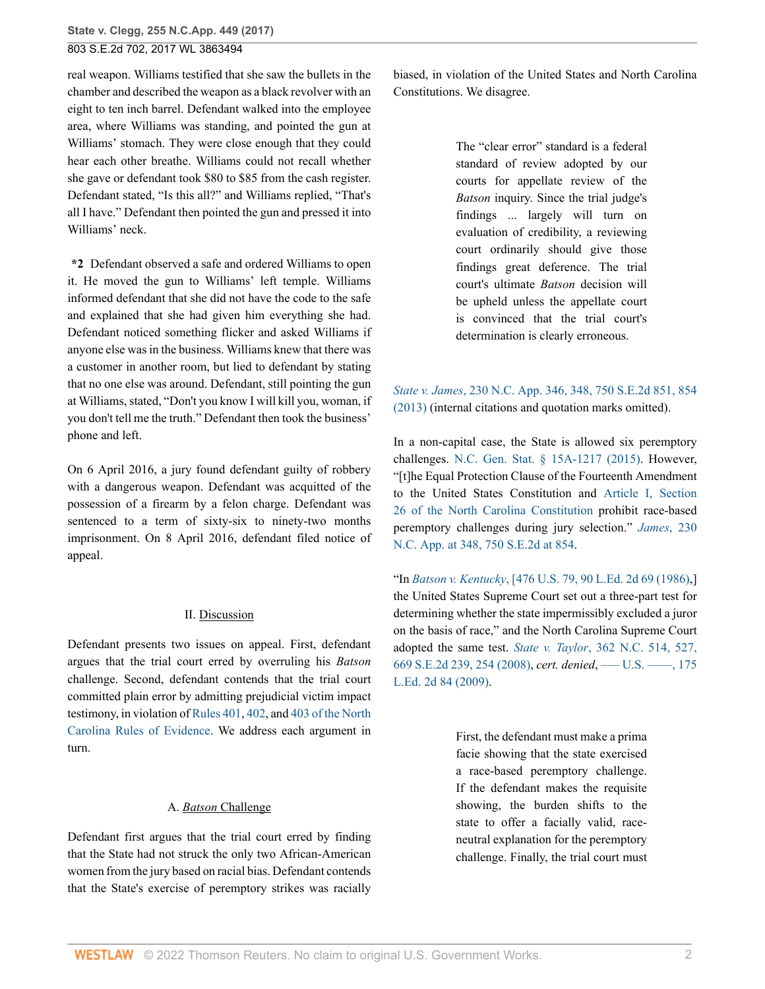803 S.E.2d 702, 2017 WL 3863494

real weapon. Williams testified that she saw the bullets in the chamber and described the weapon as a black revolver with an eight to ten inch barrel. Defendant walked into the employee area, where Williams was standing, and pointed the gun at Williams' stomach. They were close enough that they could hear each other breathe. Williams could not recall whether she gave or defendant took \$80 to \$85 from the cash register. Defendant stated, "Is this all?" and Williams replied, "That's all I have." Defendant then pointed the gun and pressed it into Williams' neck.

**\*2** Defendant observed a safe and ordered Williams to open it. He moved the gun to Williams' left temple. Williams informed defendant that she did not have the code to the safe and explained that she had given him everything she had. Defendant noticed something flicker and asked Williams if anyone else was in the business. Williams knew that there was a customer in another room, but lied to defendant by stating that no one else was around. Defendant, still pointing the gun at Williams, stated, "Don't you know I will kill you, woman, if you don't tell me the truth." Defendant then took the business' phone and left.

On 6 April 2016, a jury found defendant guilty of robbery with a dangerous weapon. Defendant was acquitted of the possession of a firearm by a felon charge. Defendant was sentenced to a term of sixty-six to ninety-two months imprisonment. On 8 April 2016, defendant filed notice of appeal.

### II. Discussion

Defendant presents two issues on appeal. First, defendant argues that the trial court erred by overruling his *Batson* challenge. Second, defendant contends that the trial court committed plain error by admitting prejudicial victim impact testimony, in violation of [Rules 401](http://www.westlaw.com/Link/Document/FullText?findType=L&pubNum=1000710&cite=NCSTEVS8C-1R401&originatingDoc=I760205a0925c11e79e029b6011d84ab0&refType=LQ&originationContext=document&vr=3.0&rs=cblt1.0&transitionType=DocumentItem&contextData=(sc.FindAndPrintPortal)), [402,](http://www.westlaw.com/Link/Document/FullText?findType=L&pubNum=1000710&cite=NCSTEVS8C-1R402&originatingDoc=I760205a0925c11e79e029b6011d84ab0&refType=LQ&originationContext=document&vr=3.0&rs=cblt1.0&transitionType=DocumentItem&contextData=(sc.FindAndPrintPortal)) and [403 of the North](http://www.westlaw.com/Link/Document/FullText?findType=L&pubNum=1000710&cite=NCSTEVS8C-1R403&originatingDoc=I760205a0925c11e79e029b6011d84ab0&refType=LQ&originationContext=document&vr=3.0&rs=cblt1.0&transitionType=DocumentItem&contextData=(sc.FindAndPrintPortal)) [Carolina Rules of Evidence](http://www.westlaw.com/Link/Document/FullText?findType=L&pubNum=1000710&cite=NCSTEVS8C-1R403&originatingDoc=I760205a0925c11e79e029b6011d84ab0&refType=LQ&originationContext=document&vr=3.0&rs=cblt1.0&transitionType=DocumentItem&contextData=(sc.FindAndPrintPortal)). We address each argument in turn.

### A. *Batson* Challenge

Defendant first argues that the trial court erred by finding that the State had not struck the only two African-American women from the jury based on racial bias. Defendant contends that the State's exercise of peremptory strikes was racially biased, in violation of the United States and North Carolina Constitutions. We disagree.

> The "clear error" standard is a federal standard of review adopted by our courts for appellate review of the *Batson* inquiry. Since the trial judge's findings ... largely will turn on evaluation of credibility, a reviewing court ordinarily should give those findings great deference. The trial court's ultimate *Batson* decision will be upheld unless the appellate court is convinced that the trial court's determination is clearly erroneous.

# *State v. James*[, 230 N.C. App. 346, 348, 750 S.E.2d 851, 854](http://www.westlaw.com/Link/Document/FullText?findType=Y&serNum=2031903468&pubNum=0000711&originatingDoc=I760205a0925c11e79e029b6011d84ab0&refType=RP&fi=co_pp_sp_711_854&originationContext=document&vr=3.0&rs=cblt1.0&transitionType=DocumentItem&contextData=(sc.FindAndPrintPortal)#co_pp_sp_711_854) [\(2013\)](http://www.westlaw.com/Link/Document/FullText?findType=Y&serNum=2031903468&pubNum=0000711&originatingDoc=I760205a0925c11e79e029b6011d84ab0&refType=RP&fi=co_pp_sp_711_854&originationContext=document&vr=3.0&rs=cblt1.0&transitionType=DocumentItem&contextData=(sc.FindAndPrintPortal)#co_pp_sp_711_854) (internal citations and quotation marks omitted).

In a non-capital case, the State is allowed six peremptory challenges. [N.C. Gen. Stat. § 15A-1217 \(2015\).](http://www.westlaw.com/Link/Document/FullText?findType=L&pubNum=1000037&cite=NCSTS15A-1217&originatingDoc=I760205a0925c11e79e029b6011d84ab0&refType=LQ&originationContext=document&vr=3.0&rs=cblt1.0&transitionType=DocumentItem&contextData=(sc.FindAndPrintPortal)) However, "[t]he Equal Protection Clause of the Fourteenth Amendment to the United States Constitution and [Article I, Section](http://www.westlaw.com/Link/Document/FullText?findType=L&pubNum=1000501&cite=NCCNARTIS26&originatingDoc=I760205a0925c11e79e029b6011d84ab0&refType=LQ&originationContext=document&vr=3.0&rs=cblt1.0&transitionType=DocumentItem&contextData=(sc.FindAndPrintPortal)) [26 of the North Carolina Constitution](http://www.westlaw.com/Link/Document/FullText?findType=L&pubNum=1000501&cite=NCCNARTIS26&originatingDoc=I760205a0925c11e79e029b6011d84ab0&refType=LQ&originationContext=document&vr=3.0&rs=cblt1.0&transitionType=DocumentItem&contextData=(sc.FindAndPrintPortal)) prohibit race-based peremptory challenges during jury selection." *[James](http://www.westlaw.com/Link/Document/FullText?findType=Y&serNum=2031903468&pubNum=0000711&originatingDoc=I760205a0925c11e79e029b6011d84ab0&refType=RP&fi=co_pp_sp_711_854&originationContext=document&vr=3.0&rs=cblt1.0&transitionType=DocumentItem&contextData=(sc.FindAndPrintPortal)#co_pp_sp_711_854)*, 230 [N.C. App. at 348, 750 S.E.2d at 854.](http://www.westlaw.com/Link/Document/FullText?findType=Y&serNum=2031903468&pubNum=0000711&originatingDoc=I760205a0925c11e79e029b6011d84ab0&refType=RP&fi=co_pp_sp_711_854&originationContext=document&vr=3.0&rs=cblt1.0&transitionType=DocumentItem&contextData=(sc.FindAndPrintPortal)#co_pp_sp_711_854)

"In *Batson v. Kentucky*[, \[476 U.S. 79, 90 L.Ed. 2d 69 \(1986\)](http://www.westlaw.com/Link/Document/FullText?findType=Y&serNum=1986122459&pubNum=0000780&originatingDoc=I760205a0925c11e79e029b6011d84ab0&refType=RP&originationContext=document&vr=3.0&rs=cblt1.0&transitionType=DocumentItem&contextData=(sc.FindAndPrintPortal)),] the United States Supreme Court set out a three-part test for determining whether the state impermissibly excluded a juror on the basis of race," and the North Carolina Supreme Court adopted the same test. *State v. Taylor*[, 362 N.C. 514, 527,](http://www.westlaw.com/Link/Document/FullText?findType=Y&serNum=2017647771&pubNum=0000711&originatingDoc=I760205a0925c11e79e029b6011d84ab0&refType=RP&fi=co_pp_sp_711_254&originationContext=document&vr=3.0&rs=cblt1.0&transitionType=DocumentItem&contextData=(sc.FindAndPrintPortal)#co_pp_sp_711_254) [669 S.E.2d 239, 254 \(2008\),](http://www.westlaw.com/Link/Document/FullText?findType=Y&serNum=2017647771&pubNum=0000711&originatingDoc=I760205a0925c11e79e029b6011d84ab0&refType=RP&fi=co_pp_sp_711_254&originationContext=document&vr=3.0&rs=cblt1.0&transitionType=DocumentItem&contextData=(sc.FindAndPrintPortal)#co_pp_sp_711_254) *cert. denied*, [––– U.S. ––––, 175](http://www.westlaw.com/Link/Document/FullText?findType=Y&pubNum=0000471&cite=175LED2D84&originatingDoc=I760205a0925c11e79e029b6011d84ab0&refType=RP&originationContext=document&vr=3.0&rs=cblt1.0&transitionType=DocumentItem&contextData=(sc.FindAndPrintPortal)) [L.Ed. 2d 84 \(2009\)](http://www.westlaw.com/Link/Document/FullText?findType=Y&pubNum=0000471&cite=175LED2D84&originatingDoc=I760205a0925c11e79e029b6011d84ab0&refType=RP&originationContext=document&vr=3.0&rs=cblt1.0&transitionType=DocumentItem&contextData=(sc.FindAndPrintPortal)).

> First, the defendant must make a prima facie showing that the state exercised a race-based peremptory challenge. If the defendant makes the requisite showing, the burden shifts to the state to offer a facially valid, raceneutral explanation for the peremptory challenge. Finally, the trial court must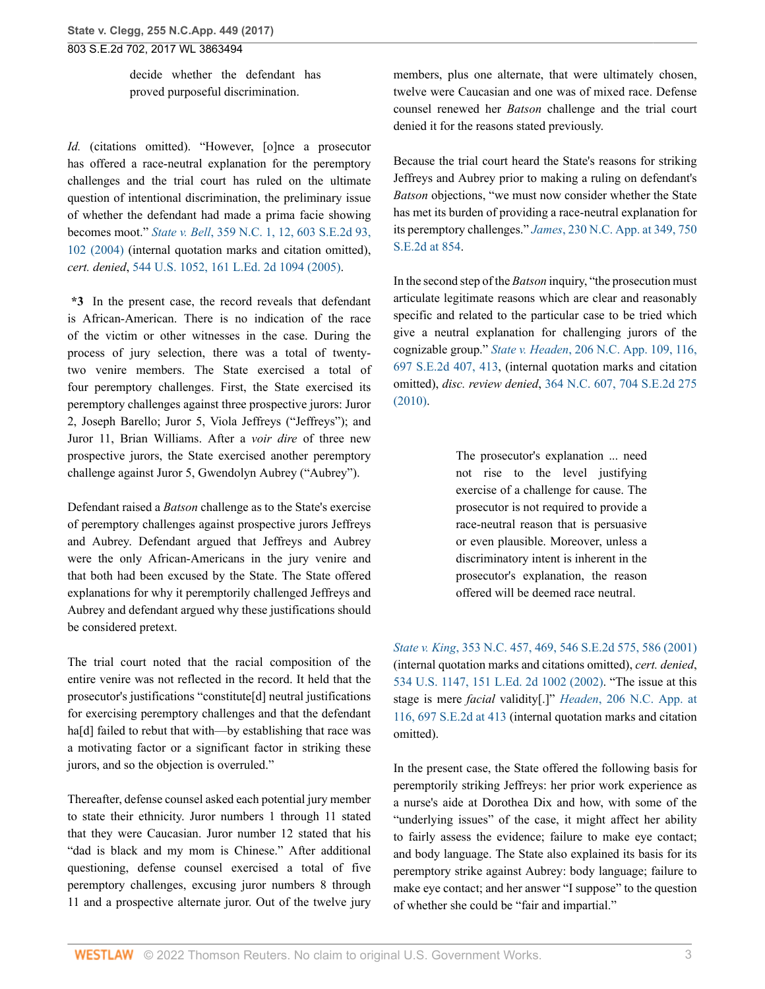decide whether the defendant has proved purposeful discrimination.

*Id.* (citations omitted). "However, [o]nce a prosecutor has offered a race-neutral explanation for the peremptory challenges and the trial court has ruled on the ultimate question of intentional discrimination, the preliminary issue of whether the defendant had made a prima facie showing becomes moot." *State v. Bell*[, 359 N.C. 1, 12, 603 S.E.2d 93,](http://www.westlaw.com/Link/Document/FullText?findType=Y&serNum=2005248665&pubNum=0000711&originatingDoc=I760205a0925c11e79e029b6011d84ab0&refType=RP&fi=co_pp_sp_711_102&originationContext=document&vr=3.0&rs=cblt1.0&transitionType=DocumentItem&contextData=(sc.FindAndPrintPortal)#co_pp_sp_711_102) [102 \(2004\)](http://www.westlaw.com/Link/Document/FullText?findType=Y&serNum=2005248665&pubNum=0000711&originatingDoc=I760205a0925c11e79e029b6011d84ab0&refType=RP&fi=co_pp_sp_711_102&originationContext=document&vr=3.0&rs=cblt1.0&transitionType=DocumentItem&contextData=(sc.FindAndPrintPortal)#co_pp_sp_711_102) (internal quotation marks and citation omitted), *cert. denied*, [544 U.S. 1052, 161 L.Ed. 2d 1094 \(2005\).](http://www.westlaw.com/Link/Document/FullText?findType=Y&serNum=2006366867&pubNum=0000780&originatingDoc=I760205a0925c11e79e029b6011d84ab0&refType=RP&originationContext=document&vr=3.0&rs=cblt1.0&transitionType=DocumentItem&contextData=(sc.FindAndPrintPortal))

**\*3** In the present case, the record reveals that defendant is African-American. There is no indication of the race of the victim or other witnesses in the case. During the process of jury selection, there was a total of twentytwo venire members. The State exercised a total of four peremptory challenges. First, the State exercised its peremptory challenges against three prospective jurors: Juror 2, Joseph Barello; Juror 5, Viola Jeffreys ("Jeffreys"); and Juror 11, Brian Williams. After a *voir dire* of three new prospective jurors, the State exercised another peremptory challenge against Juror 5, Gwendolyn Aubrey ("Aubrey").

Defendant raised a *Batson* challenge as to the State's exercise of peremptory challenges against prospective jurors Jeffreys and Aubrey. Defendant argued that Jeffreys and Aubrey were the only African-Americans in the jury venire and that both had been excused by the State. The State offered explanations for why it peremptorily challenged Jeffreys and Aubrey and defendant argued why these justifications should be considered pretext.

The trial court noted that the racial composition of the entire venire was not reflected in the record. It held that the prosecutor's justifications "constitute[d] neutral justifications for exercising peremptory challenges and that the defendant ha<sup>[d]</sup> failed to rebut that with—by establishing that race was a motivating factor or a significant factor in striking these jurors, and so the objection is overruled."

Thereafter, defense counsel asked each potential jury member to state their ethnicity. Juror numbers 1 through 11 stated that they were Caucasian. Juror number 12 stated that his "dad is black and my mom is Chinese." After additional questioning, defense counsel exercised a total of five peremptory challenges, excusing juror numbers 8 through 11 and a prospective alternate juror. Out of the twelve jury members, plus one alternate, that were ultimately chosen, twelve were Caucasian and one was of mixed race. Defense counsel renewed her *Batson* challenge and the trial court denied it for the reasons stated previously.

Because the trial court heard the State's reasons for striking Jeffreys and Aubrey prior to making a ruling on defendant's *Batson* objections, "we must now consider whether the State has met its burden of providing a race-neutral explanation for its peremptory challenges." *James*[, 230 N.C. App. at 349, 750](http://www.westlaw.com/Link/Document/FullText?findType=Y&serNum=2031903468&pubNum=0000711&originatingDoc=I760205a0925c11e79e029b6011d84ab0&refType=RP&fi=co_pp_sp_711_854&originationContext=document&vr=3.0&rs=cblt1.0&transitionType=DocumentItem&contextData=(sc.FindAndPrintPortal)#co_pp_sp_711_854) [S.E.2d at 854.](http://www.westlaw.com/Link/Document/FullText?findType=Y&serNum=2031903468&pubNum=0000711&originatingDoc=I760205a0925c11e79e029b6011d84ab0&refType=RP&fi=co_pp_sp_711_854&originationContext=document&vr=3.0&rs=cblt1.0&transitionType=DocumentItem&contextData=(sc.FindAndPrintPortal)#co_pp_sp_711_854)

In the second step of the *Batson* inquiry, "the prosecution must articulate legitimate reasons which are clear and reasonably specific and related to the particular case to be tried which give a neutral explanation for challenging jurors of the cognizable group." *State v. Headen*[, 206 N.C. App. 109, 116,](http://www.westlaw.com/Link/Document/FullText?findType=Y&serNum=2022667495&pubNum=0000711&originatingDoc=I760205a0925c11e79e029b6011d84ab0&refType=RP&fi=co_pp_sp_711_413&originationContext=document&vr=3.0&rs=cblt1.0&transitionType=DocumentItem&contextData=(sc.FindAndPrintPortal)#co_pp_sp_711_413) [697 S.E.2d 407, 413,](http://www.westlaw.com/Link/Document/FullText?findType=Y&serNum=2022667495&pubNum=0000711&originatingDoc=I760205a0925c11e79e029b6011d84ab0&refType=RP&fi=co_pp_sp_711_413&originationContext=document&vr=3.0&rs=cblt1.0&transitionType=DocumentItem&contextData=(sc.FindAndPrintPortal)#co_pp_sp_711_413) (internal quotation marks and citation omitted), *disc. review denied*, [364 N.C. 607, 704 S.E.2d 275](http://www.westlaw.com/Link/Document/FullText?findType=Y&serNum=2024199230&pubNum=0000711&originatingDoc=I760205a0925c11e79e029b6011d84ab0&refType=RP&originationContext=document&vr=3.0&rs=cblt1.0&transitionType=DocumentItem&contextData=(sc.FindAndPrintPortal)) [\(2010\).](http://www.westlaw.com/Link/Document/FullText?findType=Y&serNum=2024199230&pubNum=0000711&originatingDoc=I760205a0925c11e79e029b6011d84ab0&refType=RP&originationContext=document&vr=3.0&rs=cblt1.0&transitionType=DocumentItem&contextData=(sc.FindAndPrintPortal))

> The prosecutor's explanation ... need not rise to the level justifying exercise of a challenge for cause. The prosecutor is not required to provide a race-neutral reason that is persuasive or even plausible. Moreover, unless a discriminatory intent is inherent in the prosecutor's explanation, the reason offered will be deemed race neutral.

*State v. King*[, 353 N.C. 457, 469, 546 S.E.2d 575, 586 \(2001\)](http://www.westlaw.com/Link/Document/FullText?findType=Y&serNum=2001491430&pubNum=0000711&originatingDoc=I760205a0925c11e79e029b6011d84ab0&refType=RP&fi=co_pp_sp_711_586&originationContext=document&vr=3.0&rs=cblt1.0&transitionType=DocumentItem&contextData=(sc.FindAndPrintPortal)#co_pp_sp_711_586) (internal quotation marks and citations omitted), *cert. denied*, [534 U.S. 1147, 151 L.Ed. 2d 1002 \(2002\).](http://www.westlaw.com/Link/Document/FullText?findType=Y&serNum=2002041147&pubNum=0000780&originatingDoc=I760205a0925c11e79e029b6011d84ab0&refType=RP&originationContext=document&vr=3.0&rs=cblt1.0&transitionType=DocumentItem&contextData=(sc.FindAndPrintPortal)) "The issue at this stage is mere *facial* validity[.]" *Headen*[, 206 N.C. App. at](http://www.westlaw.com/Link/Document/FullText?findType=Y&serNum=2022667495&pubNum=0000711&originatingDoc=I760205a0925c11e79e029b6011d84ab0&refType=RP&fi=co_pp_sp_711_413&originationContext=document&vr=3.0&rs=cblt1.0&transitionType=DocumentItem&contextData=(sc.FindAndPrintPortal)#co_pp_sp_711_413) [116, 697 S.E.2d at 413](http://www.westlaw.com/Link/Document/FullText?findType=Y&serNum=2022667495&pubNum=0000711&originatingDoc=I760205a0925c11e79e029b6011d84ab0&refType=RP&fi=co_pp_sp_711_413&originationContext=document&vr=3.0&rs=cblt1.0&transitionType=DocumentItem&contextData=(sc.FindAndPrintPortal)#co_pp_sp_711_413) (internal quotation marks and citation omitted).

In the present case, the State offered the following basis for peremptorily striking Jeffreys: her prior work experience as a nurse's aide at Dorothea Dix and how, with some of the "underlying issues" of the case, it might affect her ability to fairly assess the evidence; failure to make eye contact; and body language. The State also explained its basis for its peremptory strike against Aubrey: body language; failure to make eye contact; and her answer "I suppose" to the question of whether she could be "fair and impartial."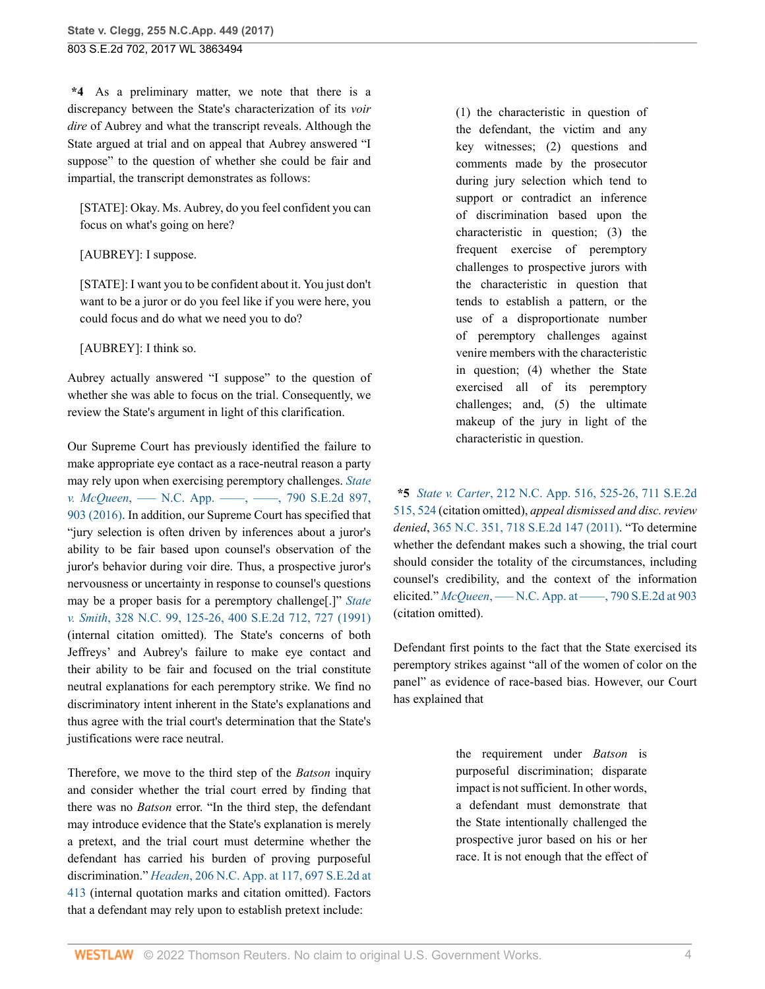**\*4** As a preliminary matter, we note that there is a discrepancy between the State's characterization of its *voir dire* of Aubrey and what the transcript reveals. Although the State argued at trial and on appeal that Aubrey answered "I suppose" to the question of whether she could be fair and impartial, the transcript demonstrates as follows:

[STATE]: Okay. Ms. Aubrey, do you feel confident you can focus on what's going on here?

### [AUBREY]: I suppose.

[STATE]: I want you to be confident about it. You just don't want to be a juror or do you feel like if you were here, you could focus and do what we need you to do?

[AUBREY]: I think so.

Aubrey actually answered "I suppose" to the question of whether she was able to focus on the trial. Consequently, we review the State's argument in light of this clarification.

Our Supreme Court has previously identified the failure to make appropriate eye contact as a race-neutral reason a party may rely upon when exercising peremptory challenges. *[State](http://www.westlaw.com/Link/Document/FullText?findType=Y&serNum=2039818630&pubNum=0000711&originatingDoc=I760205a0925c11e79e029b6011d84ab0&refType=RP&fi=co_pp_sp_711_903&originationContext=document&vr=3.0&rs=cblt1.0&transitionType=DocumentItem&contextData=(sc.FindAndPrintPortal)#co_pp_sp_711_903) v. McQueen*, —– N.C. App. —–, —–, 790 S.E.2d 897, [903 \(2016\).](http://www.westlaw.com/Link/Document/FullText?findType=Y&serNum=2039818630&pubNum=0000711&originatingDoc=I760205a0925c11e79e029b6011d84ab0&refType=RP&fi=co_pp_sp_711_903&originationContext=document&vr=3.0&rs=cblt1.0&transitionType=DocumentItem&contextData=(sc.FindAndPrintPortal)#co_pp_sp_711_903) In addition, our Supreme Court has specified that "jury selection is often driven by inferences about a juror's ability to be fair based upon counsel's observation of the juror's behavior during voir dire. Thus, a prospective juror's nervousness or uncertainty in response to counsel's questions may be a proper basis for a peremptory challenge[.]" *[State](http://www.westlaw.com/Link/Document/FullText?findType=Y&serNum=1991035352&pubNum=0000711&originatingDoc=I760205a0925c11e79e029b6011d84ab0&refType=RP&fi=co_pp_sp_711_727&originationContext=document&vr=3.0&rs=cblt1.0&transitionType=DocumentItem&contextData=(sc.FindAndPrintPortal)#co_pp_sp_711_727) v. Smith*[, 328 N.C. 99, 125-26, 400 S.E.2d 712, 727 \(1991\)](http://www.westlaw.com/Link/Document/FullText?findType=Y&serNum=1991035352&pubNum=0000711&originatingDoc=I760205a0925c11e79e029b6011d84ab0&refType=RP&fi=co_pp_sp_711_727&originationContext=document&vr=3.0&rs=cblt1.0&transitionType=DocumentItem&contextData=(sc.FindAndPrintPortal)#co_pp_sp_711_727) (internal citation omitted). The State's concerns of both Jeffreys' and Aubrey's failure to make eye contact and their ability to be fair and focused on the trial constitute neutral explanations for each peremptory strike. We find no discriminatory intent inherent in the State's explanations and thus agree with the trial court's determination that the State's justifications were race neutral.

Therefore, we move to the third step of the *Batson* inquiry and consider whether the trial court erred by finding that there was no *Batson* error. "In the third step, the defendant may introduce evidence that the State's explanation is merely a pretext, and the trial court must determine whether the defendant has carried his burden of proving purposeful discrimination." *Headen*[, 206 N.C. App. at 117, 697 S.E.2d at](http://www.westlaw.com/Link/Document/FullText?findType=Y&serNum=2022667495&pubNum=0000711&originatingDoc=I760205a0925c11e79e029b6011d84ab0&refType=RP&fi=co_pp_sp_711_413&originationContext=document&vr=3.0&rs=cblt1.0&transitionType=DocumentItem&contextData=(sc.FindAndPrintPortal)#co_pp_sp_711_413) [413](http://www.westlaw.com/Link/Document/FullText?findType=Y&serNum=2022667495&pubNum=0000711&originatingDoc=I760205a0925c11e79e029b6011d84ab0&refType=RP&fi=co_pp_sp_711_413&originationContext=document&vr=3.0&rs=cblt1.0&transitionType=DocumentItem&contextData=(sc.FindAndPrintPortal)#co_pp_sp_711_413) (internal quotation marks and citation omitted). Factors that a defendant may rely upon to establish pretext include:

(1) the characteristic in question of the defendant, the victim and any key witnesses; (2) questions and comments made by the prosecutor during jury selection which tend to support or contradict an inference of discrimination based upon the characteristic in question; (3) the frequent exercise of peremptory challenges to prospective jurors with the characteristic in question that tends to establish a pattern, or the use of a disproportionate number of peremptory challenges against venire members with the characteristic in question; (4) whether the State exercised all of its peremptory challenges; and, (5) the ultimate makeup of the jury in light of the characteristic in question.

**\*5** *State v. Carter*[, 212 N.C. App. 516, 525-26, 711 S.E.2d](http://www.westlaw.com/Link/Document/FullText?findType=Y&serNum=2025526124&pubNum=0000711&originatingDoc=I760205a0925c11e79e029b6011d84ab0&refType=RP&fi=co_pp_sp_711_524&originationContext=document&vr=3.0&rs=cblt1.0&transitionType=DocumentItem&contextData=(sc.FindAndPrintPortal)#co_pp_sp_711_524) [515, 524](http://www.westlaw.com/Link/Document/FullText?findType=Y&serNum=2025526124&pubNum=0000711&originatingDoc=I760205a0925c11e79e029b6011d84ab0&refType=RP&fi=co_pp_sp_711_524&originationContext=document&vr=3.0&rs=cblt1.0&transitionType=DocumentItem&contextData=(sc.FindAndPrintPortal)#co_pp_sp_711_524) (citation omitted), *appeal dismissed and disc. review denied*, [365 N.C. 351, 718 S.E.2d 147 \(2011\).](http://www.westlaw.com/Link/Document/FullText?findType=Y&serNum=2026309195&pubNum=0000711&originatingDoc=I760205a0925c11e79e029b6011d84ab0&refType=RP&originationContext=document&vr=3.0&rs=cblt1.0&transitionType=DocumentItem&contextData=(sc.FindAndPrintPortal)) "To determine whether the defendant makes such a showing, the trial court should consider the totality of the circumstances, including counsel's credibility, and the context of the information elicited." *McQueen*[, ––– N.C. App. at ––––, 790 S.E.2d at 903](http://www.westlaw.com/Link/Document/FullText?findType=Y&serNum=2039818630&pubNum=0000711&originatingDoc=I760205a0925c11e79e029b6011d84ab0&refType=RP&fi=co_pp_sp_711_903&originationContext=document&vr=3.0&rs=cblt1.0&transitionType=DocumentItem&contextData=(sc.FindAndPrintPortal)#co_pp_sp_711_903) (citation omitted).

Defendant first points to the fact that the State exercised its peremptory strikes against "all of the women of color on the panel" as evidence of race-based bias. However, our Court has explained that

> the requirement under *Batson* is purposeful discrimination; disparate impact is not sufficient. In other words, a defendant must demonstrate that the State intentionally challenged the prospective juror based on his or her race. It is not enough that the effect of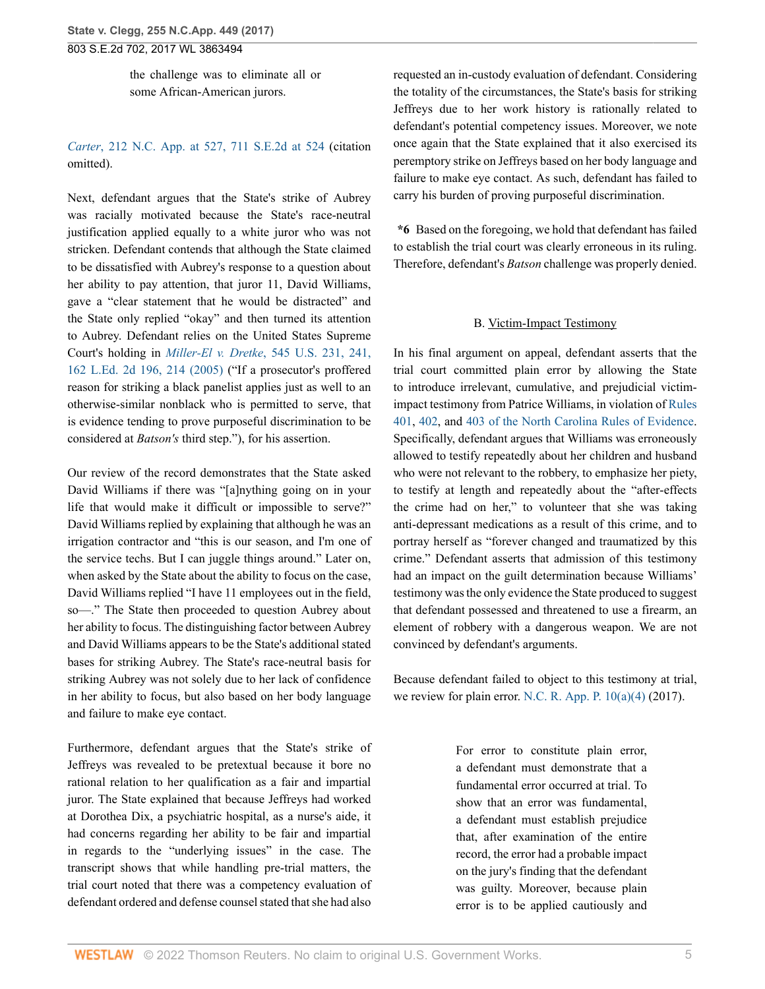803 S.E.2d 702, 2017 WL 3863494

the challenge was to eliminate all or some African-American jurors.

## *Carter*[, 212 N.C. App. at 527, 711 S.E.2d at 524](http://www.westlaw.com/Link/Document/FullText?findType=Y&serNum=2025526124&pubNum=0000711&originatingDoc=I760205a0925c11e79e029b6011d84ab0&refType=RP&fi=co_pp_sp_711_524&originationContext=document&vr=3.0&rs=cblt1.0&transitionType=DocumentItem&contextData=(sc.FindAndPrintPortal)#co_pp_sp_711_524) (citation omitted).

Next, defendant argues that the State's strike of Aubrey was racially motivated because the State's race-neutral justification applied equally to a white juror who was not stricken. Defendant contends that although the State claimed to be dissatisfied with Aubrey's response to a question about her ability to pay attention, that juror 11, David Williams, gave a "clear statement that he would be distracted" and the State only replied "okay" and then turned its attention to Aubrey. Defendant relies on the United States Supreme Court's holding in *Miller-El v. Dretke*[, 545 U.S. 231, 241,](http://www.westlaw.com/Link/Document/FullText?findType=Y&serNum=2006791870&pubNum=0000780&originatingDoc=I760205a0925c11e79e029b6011d84ab0&refType=RP&fi=co_pp_sp_780_241&originationContext=document&vr=3.0&rs=cblt1.0&transitionType=DocumentItem&contextData=(sc.FindAndPrintPortal)#co_pp_sp_780_241) [162 L.Ed. 2d 196, 214 \(2005\)](http://www.westlaw.com/Link/Document/FullText?findType=Y&serNum=2006791870&pubNum=0000780&originatingDoc=I760205a0925c11e79e029b6011d84ab0&refType=RP&fi=co_pp_sp_780_241&originationContext=document&vr=3.0&rs=cblt1.0&transitionType=DocumentItem&contextData=(sc.FindAndPrintPortal)#co_pp_sp_780_241) ("If a prosecutor's proffered reason for striking a black panelist applies just as well to an otherwise-similar nonblack who is permitted to serve, that is evidence tending to prove purposeful discrimination to be considered at *Batson's* third step."), for his assertion.

Our review of the record demonstrates that the State asked David Williams if there was "[a]nything going on in your life that would make it difficult or impossible to serve?" David Williams replied by explaining that although he was an irrigation contractor and "this is our season, and I'm one of the service techs. But I can juggle things around." Later on, when asked by the State about the ability to focus on the case, David Williams replied "I have 11 employees out in the field, so—." The State then proceeded to question Aubrey about her ability to focus. The distinguishing factor between Aubrey and David Williams appears to be the State's additional stated bases for striking Aubrey. The State's race-neutral basis for striking Aubrey was not solely due to her lack of confidence in her ability to focus, but also based on her body language and failure to make eye contact.

Furthermore, defendant argues that the State's strike of Jeffreys was revealed to be pretextual because it bore no rational relation to her qualification as a fair and impartial juror. The State explained that because Jeffreys had worked at Dorothea Dix, a psychiatric hospital, as a nurse's aide, it had concerns regarding her ability to be fair and impartial in regards to the "underlying issues" in the case. The transcript shows that while handling pre-trial matters, the trial court noted that there was a competency evaluation of defendant ordered and defense counsel stated that she had also

requested an in-custody evaluation of defendant. Considering the totality of the circumstances, the State's basis for striking Jeffreys due to her work history is rationally related to defendant's potential competency issues. Moreover, we note once again that the State explained that it also exercised its peremptory strike on Jeffreys based on her body language and failure to make eye contact. As such, defendant has failed to carry his burden of proving purposeful discrimination.

**\*6** Based on the foregoing, we hold that defendant has failed to establish the trial court was clearly erroneous in its ruling. Therefore, defendant's *Batson* challenge was properly denied.

### B. Victim-Impact Testimony

In his final argument on appeal, defendant asserts that the trial court committed plain error by allowing the State to introduce irrelevant, cumulative, and prejudicial victimimpact testimony from Patrice Williams, in violation of [Rules](http://www.westlaw.com/Link/Document/FullText?findType=L&pubNum=1000710&cite=NCSTEVS8C-1R401&originatingDoc=I760205a0925c11e79e029b6011d84ab0&refType=LQ&originationContext=document&vr=3.0&rs=cblt1.0&transitionType=DocumentItem&contextData=(sc.FindAndPrintPortal)) [401](http://www.westlaw.com/Link/Document/FullText?findType=L&pubNum=1000710&cite=NCSTEVS8C-1R401&originatingDoc=I760205a0925c11e79e029b6011d84ab0&refType=LQ&originationContext=document&vr=3.0&rs=cblt1.0&transitionType=DocumentItem&contextData=(sc.FindAndPrintPortal)), [402](http://www.westlaw.com/Link/Document/FullText?findType=L&pubNum=1000710&cite=NCSTEVS8C-1R402&originatingDoc=I760205a0925c11e79e029b6011d84ab0&refType=LQ&originationContext=document&vr=3.0&rs=cblt1.0&transitionType=DocumentItem&contextData=(sc.FindAndPrintPortal)), and [403 of the North Carolina Rules of Evidence.](http://www.westlaw.com/Link/Document/FullText?findType=L&pubNum=1000710&cite=NCSTEVS8C-1R403&originatingDoc=I760205a0925c11e79e029b6011d84ab0&refType=LQ&originationContext=document&vr=3.0&rs=cblt1.0&transitionType=DocumentItem&contextData=(sc.FindAndPrintPortal)) Specifically, defendant argues that Williams was erroneously allowed to testify repeatedly about her children and husband who were not relevant to the robbery, to emphasize her piety, to testify at length and repeatedly about the "after-effects the crime had on her," to volunteer that she was taking anti-depressant medications as a result of this crime, and to portray herself as "forever changed and traumatized by this crime." Defendant asserts that admission of this testimony had an impact on the guilt determination because Williams' testimony was the only evidence the State produced to suggest that defendant possessed and threatened to use a firearm, an element of robbery with a dangerous weapon. We are not convinced by defendant's arguments.

Because defendant failed to object to this testimony at trial, we review for plain error. [N.C. R. App. P. 10\(a\)\(4\)](http://www.westlaw.com/Link/Document/FullText?findType=L&pubNum=1006366&cite=NCRRAPAPPR10&originatingDoc=I760205a0925c11e79e029b6011d84ab0&refType=LQ&originationContext=document&vr=3.0&rs=cblt1.0&transitionType=DocumentItem&contextData=(sc.FindAndPrintPortal)) (2017).

> For error to constitute plain error, a defendant must demonstrate that a fundamental error occurred at trial. To show that an error was fundamental, a defendant must establish prejudice that, after examination of the entire record, the error had a probable impact on the jury's finding that the defendant was guilty. Moreover, because plain error is to be applied cautiously and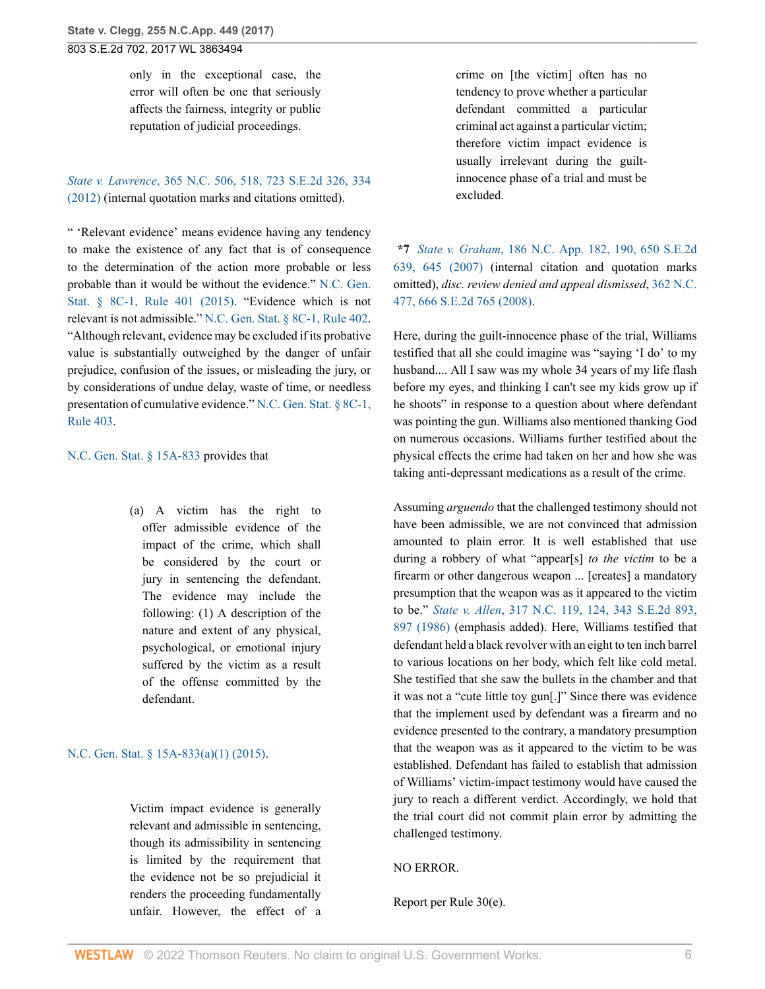only in the exceptional case, the error will often be one that seriously affects the fairness, integrity or public reputation of judicial proceedings.

*State v. Lawrence*[, 365 N.C. 506, 518, 723 S.E.2d 326, 334](http://www.westlaw.com/Link/Document/FullText?findType=Y&serNum=2027498625&pubNum=0000711&originatingDoc=I760205a0925c11e79e029b6011d84ab0&refType=RP&fi=co_pp_sp_711_334&originationContext=document&vr=3.0&rs=cblt1.0&transitionType=DocumentItem&contextData=(sc.FindAndPrintPortal)#co_pp_sp_711_334) [\(2012\)](http://www.westlaw.com/Link/Document/FullText?findType=Y&serNum=2027498625&pubNum=0000711&originatingDoc=I760205a0925c11e79e029b6011d84ab0&refType=RP&fi=co_pp_sp_711_334&originationContext=document&vr=3.0&rs=cblt1.0&transitionType=DocumentItem&contextData=(sc.FindAndPrintPortal)#co_pp_sp_711_334) (internal quotation marks and citations omitted).

" 'Relevant evidence' means evidence having any tendency to make the existence of any fact that is of consequence to the determination of the action more probable or less probable than it would be without the evidence." [N.C. Gen.](http://www.westlaw.com/Link/Document/FullText?findType=L&pubNum=1000710&cite=NCSTEVS8C-1R401&originatingDoc=I760205a0925c11e79e029b6011d84ab0&refType=LQ&originationContext=document&vr=3.0&rs=cblt1.0&transitionType=DocumentItem&contextData=(sc.FindAndPrintPortal)) [Stat. § 8C-1, Rule 401 \(2015\)](http://www.westlaw.com/Link/Document/FullText?findType=L&pubNum=1000710&cite=NCSTEVS8C-1R401&originatingDoc=I760205a0925c11e79e029b6011d84ab0&refType=LQ&originationContext=document&vr=3.0&rs=cblt1.0&transitionType=DocumentItem&contextData=(sc.FindAndPrintPortal)). "Evidence which is not relevant is not admissible." [N.C. Gen. Stat. § 8C-1, Rule 402](http://www.westlaw.com/Link/Document/FullText?findType=L&pubNum=1000710&cite=NCSTEVS8C-1R402&originatingDoc=I760205a0925c11e79e029b6011d84ab0&refType=LQ&originationContext=document&vr=3.0&rs=cblt1.0&transitionType=DocumentItem&contextData=(sc.FindAndPrintPortal)). "Although relevant, evidence may be excluded if its probative value is substantially outweighed by the danger of unfair prejudice, confusion of the issues, or misleading the jury, or by considerations of undue delay, waste of time, or needless presentation of cumulative evidence." [N.C. Gen. Stat. § 8C-1,](http://www.westlaw.com/Link/Document/FullText?findType=L&pubNum=1000710&cite=NCSTEVS8C-1R403&originatingDoc=I760205a0925c11e79e029b6011d84ab0&refType=LQ&originationContext=document&vr=3.0&rs=cblt1.0&transitionType=DocumentItem&contextData=(sc.FindAndPrintPortal)) [Rule 403](http://www.westlaw.com/Link/Document/FullText?findType=L&pubNum=1000710&cite=NCSTEVS8C-1R403&originatingDoc=I760205a0925c11e79e029b6011d84ab0&refType=LQ&originationContext=document&vr=3.0&rs=cblt1.0&transitionType=DocumentItem&contextData=(sc.FindAndPrintPortal)).

[N.C. Gen. Stat. § 15A-833](http://www.westlaw.com/Link/Document/FullText?findType=L&pubNum=1000037&cite=NCSTS15A-833&originatingDoc=I760205a0925c11e79e029b6011d84ab0&refType=LQ&originationContext=document&vr=3.0&rs=cblt1.0&transitionType=DocumentItem&contextData=(sc.FindAndPrintPortal)) provides that

(a) A victim has the right to offer admissible evidence of the impact of the crime, which shall be considered by the court or jury in sentencing the defendant. The evidence may include the following: (1) A description of the nature and extent of any physical, psychological, or emotional injury suffered by the victim as a result of the offense committed by the defendant.

### [N.C. Gen. Stat. § 15A-833\(a\)\(1\) \(2015\).](http://www.westlaw.com/Link/Document/FullText?findType=L&pubNum=1000037&cite=NCSTS15A-833&originatingDoc=I760205a0925c11e79e029b6011d84ab0&refType=SP&originationContext=document&vr=3.0&rs=cblt1.0&transitionType=DocumentItem&contextData=(sc.FindAndPrintPortal)#co_pp_7b9b000044381)

Victim impact evidence is generally relevant and admissible in sentencing, though its admissibility in sentencing is limited by the requirement that the evidence not be so prejudicial it renders the proceeding fundamentally unfair. However, the effect of a crime on [the victim] often has no tendency to prove whether a particular defendant committed a particular criminal act against a particular victim; therefore victim impact evidence is usually irrelevant during the guiltinnocence phase of a trial and must be excluded.

**\*7** *State v. Graham*[, 186 N.C. App. 182, 190, 650 S.E.2d](http://www.westlaw.com/Link/Document/FullText?findType=Y&serNum=2013351236&pubNum=0000711&originatingDoc=I760205a0925c11e79e029b6011d84ab0&refType=RP&fi=co_pp_sp_711_645&originationContext=document&vr=3.0&rs=cblt1.0&transitionType=DocumentItem&contextData=(sc.FindAndPrintPortal)#co_pp_sp_711_645) [639, 645 \(2007\)](http://www.westlaw.com/Link/Document/FullText?findType=Y&serNum=2013351236&pubNum=0000711&originatingDoc=I760205a0925c11e79e029b6011d84ab0&refType=RP&fi=co_pp_sp_711_645&originationContext=document&vr=3.0&rs=cblt1.0&transitionType=DocumentItem&contextData=(sc.FindAndPrintPortal)#co_pp_sp_711_645) (internal citation and quotation marks omitted), *disc. review denied and appeal dismissed*, [362 N.C.](http://www.westlaw.com/Link/Document/FullText?findType=Y&serNum=2016971525&pubNum=0000711&originatingDoc=I760205a0925c11e79e029b6011d84ab0&refType=RP&originationContext=document&vr=3.0&rs=cblt1.0&transitionType=DocumentItem&contextData=(sc.FindAndPrintPortal)) [477, 666 S.E.2d 765 \(2008\).](http://www.westlaw.com/Link/Document/FullText?findType=Y&serNum=2016971525&pubNum=0000711&originatingDoc=I760205a0925c11e79e029b6011d84ab0&refType=RP&originationContext=document&vr=3.0&rs=cblt1.0&transitionType=DocumentItem&contextData=(sc.FindAndPrintPortal))

Here, during the guilt-innocence phase of the trial, Williams testified that all she could imagine was "saying 'I do' to my husband.... All I saw was my whole 34 years of my life flash before my eyes, and thinking I can't see my kids grow up if he shoots" in response to a question about where defendant was pointing the gun. Williams also mentioned thanking God on numerous occasions. Williams further testified about the physical effects the crime had taken on her and how she was taking anti-depressant medications as a result of the crime.

Assuming *arguendo* that the challenged testimony should not have been admissible, we are not convinced that admission amounted to plain error. It is well established that use during a robbery of what "appear[s] *to the victim* to be a firearm or other dangerous weapon ... [creates] a mandatory presumption that the weapon was as it appeared to the victim to be." *State v. Allen*[, 317 N.C. 119, 124, 343 S.E.2d 893,](http://www.westlaw.com/Link/Document/FullText?findType=Y&serNum=1986128801&pubNum=0000711&originatingDoc=I760205a0925c11e79e029b6011d84ab0&refType=RP&fi=co_pp_sp_711_897&originationContext=document&vr=3.0&rs=cblt1.0&transitionType=DocumentItem&contextData=(sc.FindAndPrintPortal)#co_pp_sp_711_897) [897 \(1986\)](http://www.westlaw.com/Link/Document/FullText?findType=Y&serNum=1986128801&pubNum=0000711&originatingDoc=I760205a0925c11e79e029b6011d84ab0&refType=RP&fi=co_pp_sp_711_897&originationContext=document&vr=3.0&rs=cblt1.0&transitionType=DocumentItem&contextData=(sc.FindAndPrintPortal)#co_pp_sp_711_897) (emphasis added). Here, Williams testified that defendant held a black revolver with an eight to ten inch barrel to various locations on her body, which felt like cold metal. She testified that she saw the bullets in the chamber and that it was not a "cute little toy gun[.]" Since there was evidence that the implement used by defendant was a firearm and no evidence presented to the contrary, a mandatory presumption that the weapon was as it appeared to the victim to be was established. Defendant has failed to establish that admission of Williams' victim-impact testimony would have caused the jury to reach a different verdict. Accordingly, we hold that the trial court did not commit plain error by admitting the challenged testimony.

#### NO ERROR.

Report per Rule 30(e).